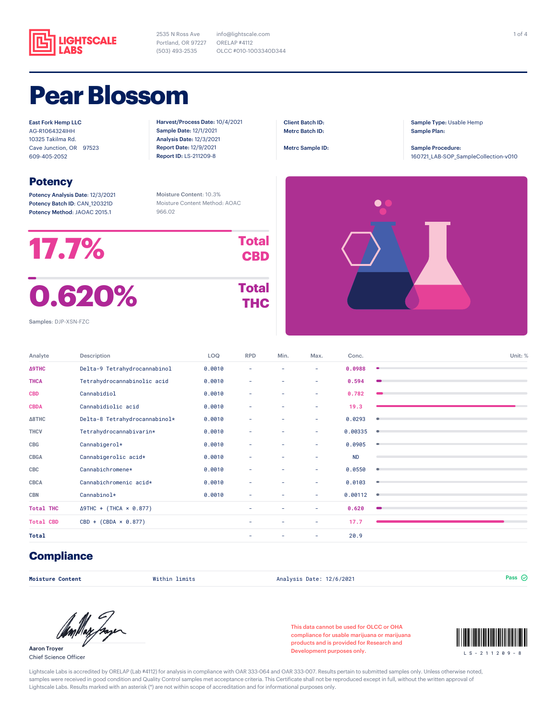

2535 N Ross Ave Portland, OR 97227 (503) 493-2535 info@lightscale.com ORELAP #4112 OLCC #010-1003340D344

### **Pear Blossom**

East Fork Hemp LLC AG-R1064324IHH 10325 Takilma Rd. Cave Junction, OR 97523 609-405-2052

#### **Potency**

Potency Analysis Date: 12/3/2021 Potency Batch ID: CAN\_120321D Potency Method: JAOAC 2015.1

Harvest/Process Date: 10/4/2021 Sample Date: 12/1/2021 Analysis Date: 12/3/2021 Report Date: 12/9/2021 Report ID: LS-211209-8

Client Batch ID: Metrc Batch ID:

Metrc Sample ID:

Sample Type: Usable Hemp Sample Plan:

Sample Procedure: 160721\_LAB-SOP\_SampleCollection-v010

Moisture Content: 10.3% Moisture Content Method: AOAC 966.02

| 17.7%  | <b>Total</b><br><b>CBD</b> |
|--------|----------------------------|
| 0.620% | <b>Total</b><br>тнс        |

# **THC**



Samples: DJP-XSN-FZC

| Analyte          | Description                    | LOQ    | <b>RPD</b>               | Min. | Max. | Conc.     | Unit: %   |
|------------------|--------------------------------|--------|--------------------------|------|------|-----------|-----------|
| Δ9THC            | Delta-9 Tetrahydrocannabinol   | 0.0010 | $\overline{\phantom{a}}$ | ٠    | ٠    | 0.0988    | $\bullet$ |
| <b>THCA</b>      | Tetrahydrocannabinolic acid    | 0.0010 | ٠                        | ٠    | ٠    | 0.594     |           |
| <b>CBD</b>       | Cannabidiol                    | 0.0010 | ٠                        | ۰    | ٠    | 0.782     |           |
| <b>CBDA</b>      | Cannabidiolic acid             | 0.0010 | ٠                        | ۰    | ٠    | 19.3      |           |
| Δ8THC            | Delta-8 Tetrahydrocannabinol*  | 0.0010 | ٠                        | ۰    | ۰    | 0.0293    | ٠         |
| <b>THCV</b>      | Tetrahydrocannabivarin*        | 0.0010 | ٠                        | ۰    | ٠    | 0.00335   | $\bullet$ |
| <b>CBG</b>       | Cannabigerol*                  | 0.0010 | ٠                        | ۰    | ۰    | 0.0905    | ۰         |
| <b>CBGA</b>      | Cannabigerolic acid*           | 0.0010 | ٠                        | ٠    | ٠    | <b>ND</b> |           |
| CBC              | Cannabichromene*               | 0.0010 | ٠                        | ٠    | ٠    | 0.0550    | ۰         |
| <b>CBCA</b>      | Cannabichromenic acid*         | 0.0010 | ٠                        | ٠    | ۰    | 0.0103    | ۰         |
| <b>CBN</b>       | Cannabinol*                    | 0.0010 | ٠                        | ۰    | ٠    | 0.00112   | ٠         |
| <b>Total THC</b> | $\Delta$ 9THC + (THCA × 0.877) |        | ۰                        | ۰    | ٠    | 0.620     |           |
| <b>Total CBD</b> | $CBD + (CBDA \times 0.877)$    |        | ۰                        | ٠    | ۰    | 17.7      |           |
| <b>Total</b>     |                                |        | ٠                        |      | ۰    | 20.9      |           |

#### **Compliance**

**Moisture Content** Within limits Analysis Date: 12/6/2021 Pass

Aaron Troyer Chief Science Officer

This data cannot be used for OLCC or OHA compliance for usable marijuana or marijuana products and is provided for Research and Development purposes only.



Lightscale Labs is accredited by ORELAP (Lab #4112) for analysis in compliance with OAR 333-064 and OAR 333-007. Results pertain to submitted samples only. Unless otherwise noted, samples were received in good condition and Quality Control samples met acceptance criteria. This Certificate shall not be reproduced except in full, without the written approval of Lightscale Labs. Results marked with an asterisk (\*) are not within scope of accreditation and for informational purposes only.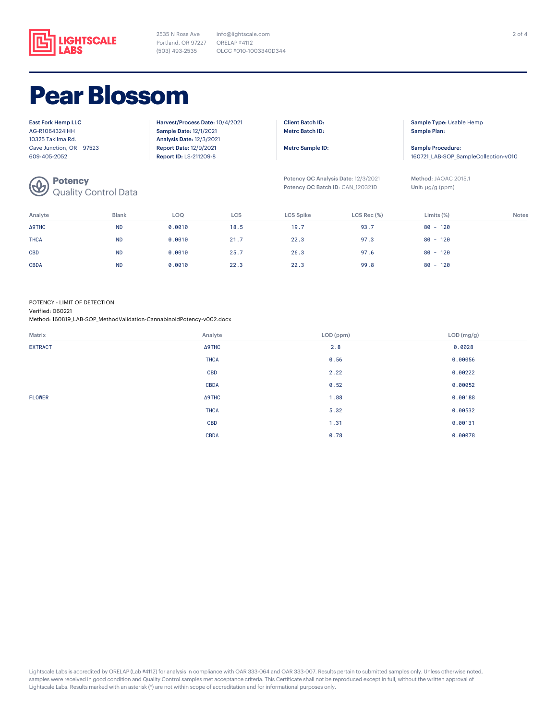

2535 N Ross Ave Portland, OR 97227 (503) 493-2535 OLCC #010-1003340D344 info@lightscale.com ORELAP #4112

## **Pear Blossom**

| <b>East Fork Hemp LLC</b>                                  | Harvest/Process Date: 10/4/2021 | <b>Client Batch ID:</b>             | Sample Type: Usable Hemp             |
|------------------------------------------------------------|---------------------------------|-------------------------------------|--------------------------------------|
| AG-R1064324IHH                                             | <b>Sample Date: 12/1/2021</b>   | <b>Metrc Batch ID:</b>              | Sample Plan:                         |
| 10325 Takilma Rd.                                          | <b>Analysis Date: 12/3/2021</b> |                                     |                                      |
| Cave Junction, OR 97523                                    | <b>Report Date: 12/9/2021</b>   | Metrc Sample ID:                    | Sample Procedure:                    |
| 609-405-2052                                               | <b>Report ID: LS-211209-8</b>   |                                     | 160721 LAB-SOP SampleCollection-v010 |
|                                                            |                                 | Potency QC Analysis Date: 12/3/2021 | Method: JAOAC 2015.1                 |
| <b>Potency</b><br>Quality Control Data<br>$\bigcircled{b}$ |                                 | Potency QC Batch ID: CAN 120321D    | Unit: $\mu q/q$ (ppm)                |

| Analyte     | <b>Blank</b> | LOQ    | <b>LCS</b> | LCS Spike | $LCS$ Rec $(\%)$ | Limits $(\%)$ | <b>Notes</b> |
|-------------|--------------|--------|------------|-----------|------------------|---------------|--------------|
| Δ9THC       | <b>ND</b>    | 0.0010 | 18.5       | 19.7      | 93.7             | $80 - 120$    |              |
| <b>THCA</b> | <b>ND</b>    | 0.0010 | 21.7       | 22.3      | 97.3             | $80 - 120$    |              |
| <b>CBD</b>  | <b>ND</b>    | 0.0010 | 25.7       | 26.3      | 97.6             | $80 - 120$    |              |
| <b>CBDA</b> | <b>ND</b>    | 0.0010 | 22.3       | 22.3      | 99.8             | $80 - 120$    |              |

POTENCY - LIMIT OF DETECTION

Verified: 060221

Method: 160819\_LAB-SOP\_MethodValidation-CannabinoidPotency-v002.docx

| Matrix         | Analyte       | LOD (ppm) | LOD (mg/g) |
|----------------|---------------|-----------|------------|
| <b>EXTRACT</b> | $\Delta$ 9THC | 2.8       | 0.0028     |
|                | <b>THCA</b>   | 0.56      | 0.00056    |
|                | <b>CBD</b>    | 2.22      | 0.00222    |
|                | <b>CBDA</b>   | 0.52      | 0.00052    |
| <b>FLOWER</b>  | $\Delta$ 9THC | 1.88      | 0.00188    |
|                | <b>THCA</b>   | 5.32      | 0.00532    |
|                | <b>CBD</b>    | 1.31      | 0.00131    |
|                | <b>CBDA</b>   | 0.78      | 0.00078    |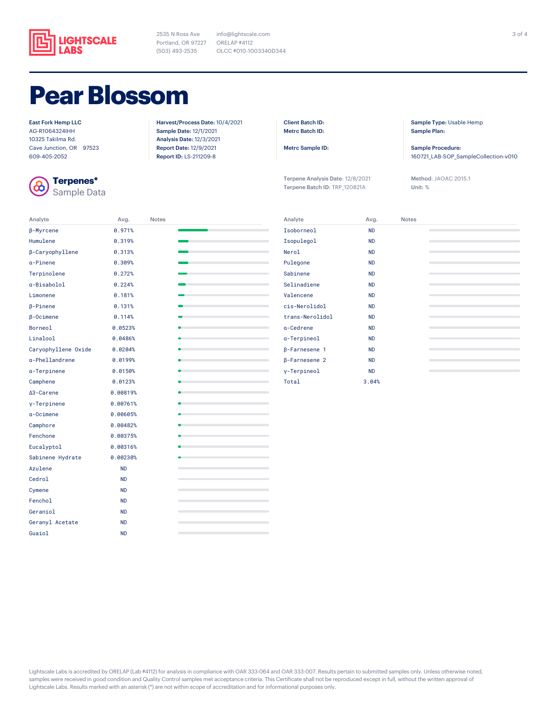

2535 N Ross Ave Portland, OR 97227 ORELAP #4112 (503) 493-2535 info@lightscale.com OLCC #010-1003340D344

### **Pear Blossom**

#### East Fork Hemp LLC

AG-R1064324IHH 10325 Takilma Rd. Cave Junction, OR 97523 609-405-2052



**Terpenes\*** Sample Data

Analyte Avg. Notes

Harvest/Process Date: 10/4/2021 Sample Date: 12/1/2021 Analysis Date: 12/3/2021 Report Date: 12/9/2021 Report ID: LS-211209-8

Client Batch ID: Metrc Batch ID:

Metrc Sample ID:

Terpene Analysis Date: 12/8/2021 Terpene Batch ID: TRP\_120821A

Sample Type: Usable Hemp Sample Plan:

Sample Procedure: 160721\_LAB-SOP\_SampleCollection-v010

Method: JAOAC 2015.1 Unit: %

| β-Myrcene           | 0.971%    |  |
|---------------------|-----------|--|
| Humulene            | 0.319%    |  |
| β-Caryophyllene     | 0.313%    |  |
| a-Pinene            | 0.309%    |  |
| Terpinolene         | 0.272%    |  |
| a-Bisabolol         | 0.224%    |  |
| Limonene            | 0.181%    |  |
| $\beta$ -Pinene     | 0.131%    |  |
| $\beta$ -Ocimene    | 0.114%    |  |
| Borneol             | 0.0523%   |  |
| Linalool            | 0.0486%   |  |
| Caryophyllene Oxide | 0.0204%   |  |
| a-Phellandrene      | 0.0199%   |  |
| a-Terpinene         | 0.0150%   |  |
| Camphene            | 0.0123%   |  |
| ∆3-Carene           | 0.00819%  |  |
| y-Terpinene         | 0.00761%  |  |
| $a$ -Ocimene        | 0.00605%  |  |
| Camphore            | 0.00482%  |  |
| Fenchone            | 0.00375%  |  |
| Eucalyptol          | 0.00316%  |  |
| Sabinene Hydrate    | 0.00230%  |  |
| Azulene             | <b>ND</b> |  |
| Cedrol              | <b>ND</b> |  |
| Cymene              | <b>ND</b> |  |
| Fenchol             | <b>ND</b> |  |
| Geraniol            | <b>ND</b> |  |
| Geranyl Acetate     | <b>ND</b> |  |
| Guaiol              | <b>ND</b> |  |

| Analyte              | Avg.      | <b>Notes</b> |  |
|----------------------|-----------|--------------|--|
| Isoborneol           | <b>ND</b> |              |  |
| Isopulegol           | <b>ND</b> |              |  |
| Nerol                | <b>ND</b> |              |  |
| Pulegone             | <b>ND</b> |              |  |
| Sabinene             | <b>ND</b> |              |  |
| Selinadiene          | <b>ND</b> |              |  |
| Valencene            | <b>ND</b> |              |  |
| cis-Nerolidol        | <b>ND</b> |              |  |
| trans-Nerolidol      | <b>ND</b> |              |  |
| a-Cedrene            | <b>ND</b> |              |  |
| a-Terpineol          | <b>ND</b> |              |  |
| <b>B-Farnesene 1</b> | <b>ND</b> |              |  |
| <b>B-Farnesene 2</b> | <b>ND</b> |              |  |
| y-Terpineol          | <b>ND</b> |              |  |
| Total                | 3.04%     |              |  |